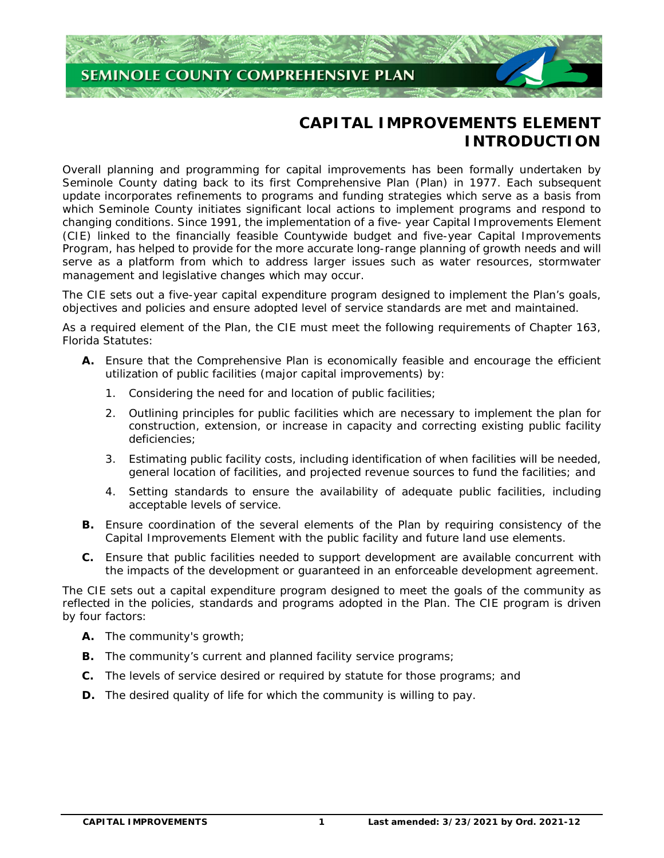

# **CAPITAL IMPROVEMENTS ELEMENT INTRODUCTION**

 Overall planning and programming for capital improvements has been formally undertaken by Seminole County dating back to its first Comprehensive Plan (Plan) in 1977. Each subsequent update incorporates refinements to programs and funding strategies which serve as a basis from which Seminole County initiates significant local actions to implement programs and respond to changing conditions. Since 1991, the implementation of a five- year Capital Improvements Element (CIE) linked to the financially feasible Countywide budget and five-year Capital Improvements Program, has helped to provide for the more accurate long-range planning of growth needs and will serve as a platform from which to address larger issues such as water resources, stormwater management and legislative changes which may occur.

 The CIE sets out a five-year capital expenditure program designed to implement the Plan's goals, objectives and policies and ensure adopted level of service standards are met and maintained.

 As a required element of the Plan, the CIE must meet the following requirements of Chapter 163, Florida Statutes:

- **A.** Ensure that the Comprehensive Plan is economically feasible and encourage the efficient utilization of public facilities (major capital improvements) by:
	- 1. Considering the need for and location of public facilities;
	- 2. Outlining principles for public facilities which are necessary to implement the plan for construction, extension, or increase in capacity and correcting existing public facility deficiencies;
	- 3. Estimating public facility costs, including identification of when facilities will be needed, general location of facilities, and projected revenue sources to fund the facilities; and
	- 4. Setting standards to ensure the availability of adequate public facilities, including acceptable levels of service.
- **B.** Ensure coordination of the several elements of the Plan by requiring consistency of the Capital Improvements Element with the public facility and future land use elements.
- **C.** Ensure that public facilities needed to support development are available concurrent with the impacts of the development or guaranteed in an enforceable development agreement.

 The CIE sets out a capital expenditure program designed to meet the goals of the community as reflected in the policies, standards and programs adopted in the Plan. The CIE program is driven by four factors:

- **A.** The community's growth;
- **B.** The community's current and planned facility service programs;
- **C.** The levels of service desired or required by statute for those programs; and
- **D.** The desired quality of life for which the community is willing to pay.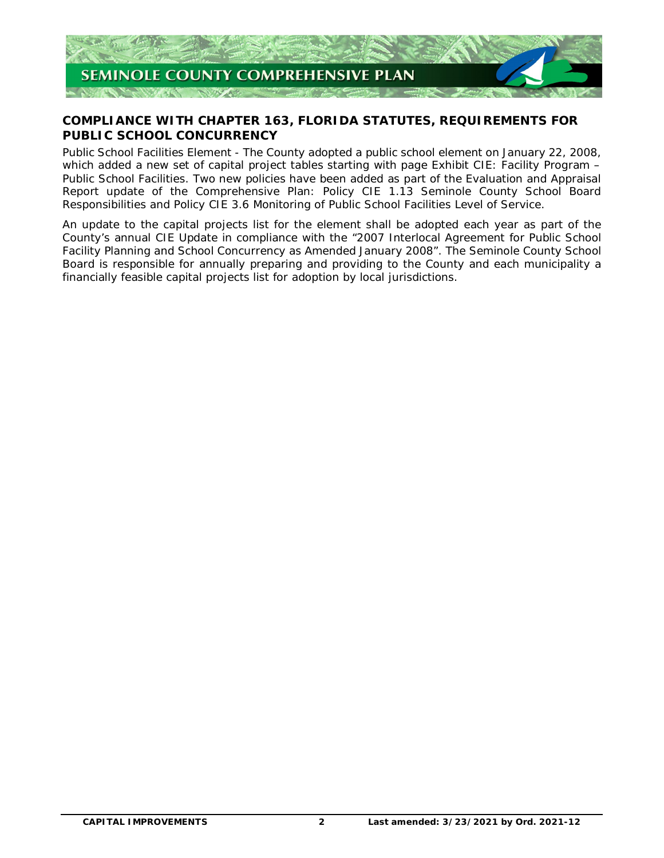

# **COMPLIANCE WITH CHAPTER 163, FLORIDA STATUTES, REQUIREMENTS FOR PUBLIC SCHOOL CONCURRENCY**

 Public School Facilities Element - The County adopted a public school element on January 22, 2008, which added a new set of capital project tables starting with page Exhibit CIE: Facility Program – Public School Facilities. Two new policies have been added as part of the Evaluation and Appraisal Report update of the Comprehensive Plan: Policy CIE 1.13 Seminole County School Board Responsibilities and Policy CIE 3.6 Monitoring of Public School Facilities Level of Service.

 An update to the capital projects list for the element shall be adopted each year as part of the County's annual CIE Update in compliance with the "2007 Interlocal Agreement for Public School Facility Planning and School Concurrency as Amended January 2008". The Seminole County School Board is responsible for annually preparing and providing to the County and each municipality a financially feasible capital projects list for adoption by local jurisdictions.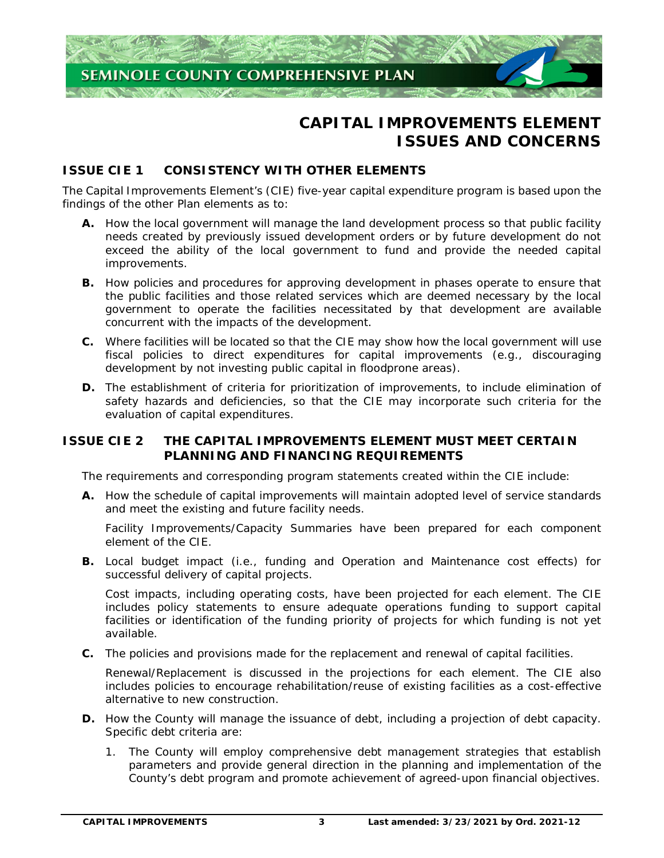

# **CAPITAL IMPROVEMENTS ELEMENT ISSUES AND CONCERNS**

# **ISSUE CIF1 CONSISTENCY WITH OTHER FLEMENTS**

 The Capital Improvements Element's (CIE) five-year capital expenditure program is based upon the findings of the other Plan elements as to:

- **A.** How the local government will manage the land development process so that public facility needs created by previously issued development orders or by future development do not exceed the ability of the local government to fund and provide the needed capital improvements.
- **B.** How policies and procedures for approving development in phases operate to ensure that the public facilities and those related services which are deemed necessary by the local government to operate the facilities necessitated by that development are available concurrent with the impacts of the development.
- **C.** Where facilities will be located so that the CIE may show how the local government will use fiscal policies to direct expenditures for capital improvements (e.g., discouraging development by not investing public capital in floodprone areas).
- **D.** The establishment of criteria for prioritization of improvements, to include elimination of safety hazards and deficiencies, so that the CIE may incorporate such criteria for the evaluation of capital expenditures.

# **ISSUE CIE 2 PLANNING AND FINANCING REQUIREMENTS THE CAPITAL IMPROVEMENTS ELEMENT MUST MEET CERTAIN**

The requirements and corresponding program statements created within the CIE include:

 **A.** How the schedule of capital improvements will maintain adopted level of service standards and meet the existing and future facility needs.

 Facility Improvements/Capacity Summaries have been prepared for each component element of the CIE.

 **B.** Local budget impact (i.e., funding and Operation and Maintenance cost effects) for successful delivery of capital projects.

 Cost impacts, including operating costs, have been projected for each element. The CIE includes policy statements to ensure adequate operations funding to support capital facilities or identification of the funding priority of projects for which funding is not yet available.

**C.** The policies and provisions made for the replacement and renewal of capital facilities.

 Renewal/Replacement is discussed in the projections for each element. The CIE also includes policies to encourage rehabilitation/reuse of existing facilities as a cost-effective alternative to new construction.

- **D.** How the County will manage the issuance of debt, including a projection of debt capacity. Specific debt criteria are:
	- 1. The County will employ comprehensive debt management strategies that establish parameters and provide general direction in the planning and implementation of the County's debt program and promote achievement of agreed-upon financial objectives.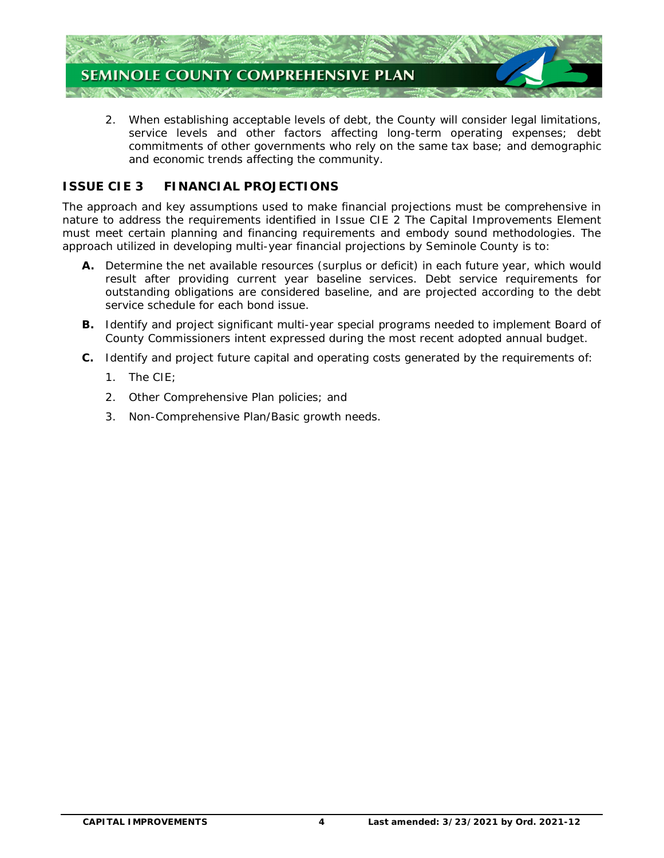

 2. When establishing acceptable levels of debt, the County will consider legal limitations, service levels and other factors affecting long-term operating expenses; debt commitments of other governments who rely on the same tax base; and demographic and economic trends affecting the community.

# **ISSUE CIE 3 FINANCIAL PROJECTIONS**

 The approach and key assumptions used to make financial projections must be comprehensive in nature to address the requirements identified in Issue CIE 2 The Capital Improvements Element must meet certain planning and financing requirements and embody sound methodologies. The approach utilized in developing multi-year financial projections by Seminole County is to:

- **A.** Determine the net available resources (surplus or deficit) in each future year, which would result after providing current year baseline services. Debt service requirements for outstanding obligations are considered baseline, and are projected according to the debt service schedule for each bond issue.
- **B.** Identify and project significant multi-year special programs needed to implement Board of County Commissioners intent expressed during the most recent adopted annual budget.
- **C.** Identify and project future capital and operating costs generated by the requirements of:
	- 1. The CIE;
	- 2. Other Comprehensive Plan policies; and
	- 3. Non-Comprehensive Plan/Basic growth needs.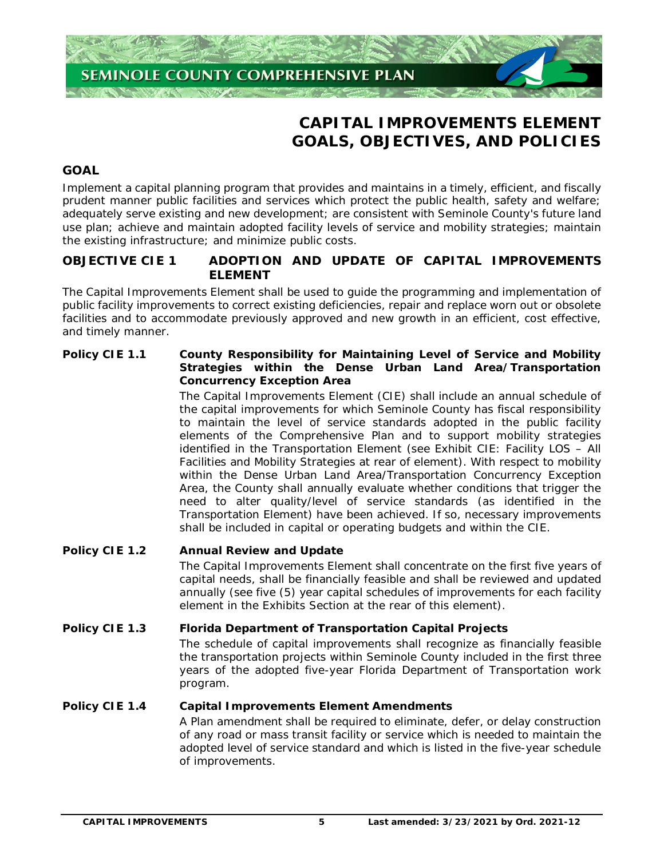

# **CAPITAL IMPROVEMENTS ELEMENT GOALS, OBJECTIVES, AND POLICIES**

# **GOAL**

 Implement a capital planning program that provides and maintains in a timely, efficient, and fiscally prudent manner public facilities and services which protect the public health, safety and welfare; adequately serve existing and new development; are consistent with Seminole County's future land use plan; achieve and maintain adopted facility levels of service and mobility strategies; maintain the existing infrastructure; and minimize public costs.

# **OBJECTIVE CIE 1** ADOPTION AND UPDATE OF CAPITAL IMPROVEMENTS **ELEMENT**

 The Capital Improvements Element shall be used to guide the programming and implementation of public facility improvements to correct existing deficiencies, repair and replace worn out or obsolete facilities and to accommodate previously approved and new growth in an efficient, cost effective, and timely manner.

# **Policy CIE 1.1 Strategies within the Dense Urban Land Area/Transportation Concurrency Exception Area County Responsibility for Maintaining Level of Service and Mobility**

 The Capital Improvements Element (CIE) shall include an annual schedule of the capital improvements for which Seminole County has fiscal responsibility to maintain the level of service standards adopted in the public facility elements of the Comprehensive Plan and to support mobility strategies identified in the Transportation Element (see Exhibit CIE: Facility LOS – All Facilities and Mobility Strategies at rear of element). With respect to mobility within the Dense Urban Land Area/Transportation Concurrency Exception Area, the County shall annually evaluate whether conditions that trigger the need to alter quality/level of service standards (as identified in the Transportation Element) have been achieved. If so, necessary improvements shall be included in capital or operating budgets and within the CIE.

# **Policy CIE 1.2 Annual Review and Update**

 The Capital Improvements Element shall concentrate on the first five years of capital needs, shall be financially feasible and shall be reviewed and updated annually (see five (5) year capital schedules of improvements for each facility element in the Exhibits Section at the rear of this element).

# **Policy CIE 1.3 Florida Department of Transportation Capital Projects**

 The schedule of capital improvements shall recognize as financially feasible the transportation projects within Seminole County included in the first three years of the adopted five-year Florida Department of Transportation work program.

## **Policy CIE 1.4 Capital Improvements Element Amendments**

 A Plan amendment shall be required to eliminate, defer, or delay construction of any road or mass transit facility or service which is needed to maintain the adopted level of service standard and which is listed in the five-year schedule of improvements.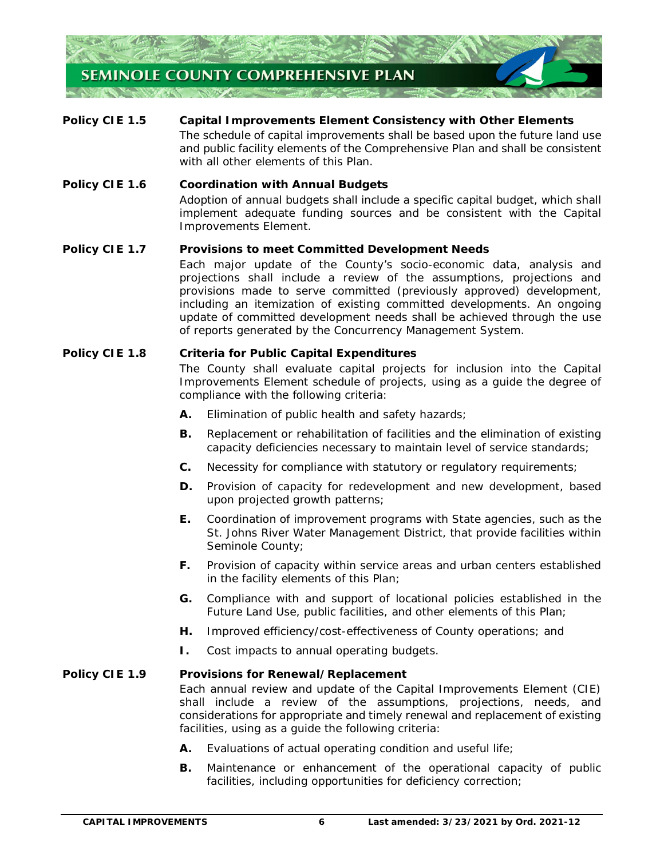

# **Policy CIE 1.5**  The schedule of capital improvements shall be based upon the future land use and public facility elements of the Comprehensive Plan and shall be consistent with all other elements of this Plan. **Capital Improvements Element Consistency with Other Elements**

# **Policy CIE 1.6**  Adoption of annual budgets shall include a specific capital budget, which shall implement adequate funding sources and be consistent with the Capital Improvements Element. **Coordination with Annual Budgets**

# **Policy CIE 1.7** Provisions to meet Committed Development Needs

 Each major update of the County's socio-economic data, analysis and projections shall include a review of the assumptions, projections and provisions made to serve committed (previously approved) development, including an itemization of existing committed developments. An ongoing update of committed development needs shall be achieved through the use of reports generated by the Concurrency Management System.

# **Policy CIE 1.8 Criteria for Public Capital Expenditures**

 The County shall evaluate capital projects for inclusion into the Capital Improvements Element schedule of projects, using as a guide the degree of compliance with the following criteria:

- **A.** Elimination of public health and safety hazards;
- **B.** Replacement or rehabilitation of facilities and the elimination of existing capacity deficiencies necessary to maintain level of service standards;
- **C.** Necessity for compliance with statutory or regulatory requirements;
- **D.** Provision of capacity for redevelopment and new development, based upon projected growth patterns;
- **E.** Coordination of improvement programs with State agencies, such as the St. Johns River Water Management District, that provide facilities within Seminole County;
- **F.** Provision of capacity within service areas and urban centers established in the facility elements of this Plan;
- **G.** Compliance with and support of locational policies established in the Future Land Use, public facilities, and other elements of this Plan;
- **H.** Improved efficiency/cost-effectiveness of County operations; and
- **I.** Cost impacts to annual operating budgets.

## **Policy CIE 1.9 Provisions for Renewal/Replacement**

 Each annual review and update of the Capital Improvements Element (CIE) shall include a review of the assumptions, projections, needs, and considerations for appropriate and timely renewal and replacement of existing facilities, using as a guide the following criteria:

- **A.** Evaluations of actual operating condition and useful life;
- **B.** Maintenance or enhancement of the operational capacity of public facilities, including opportunities for deficiency correction;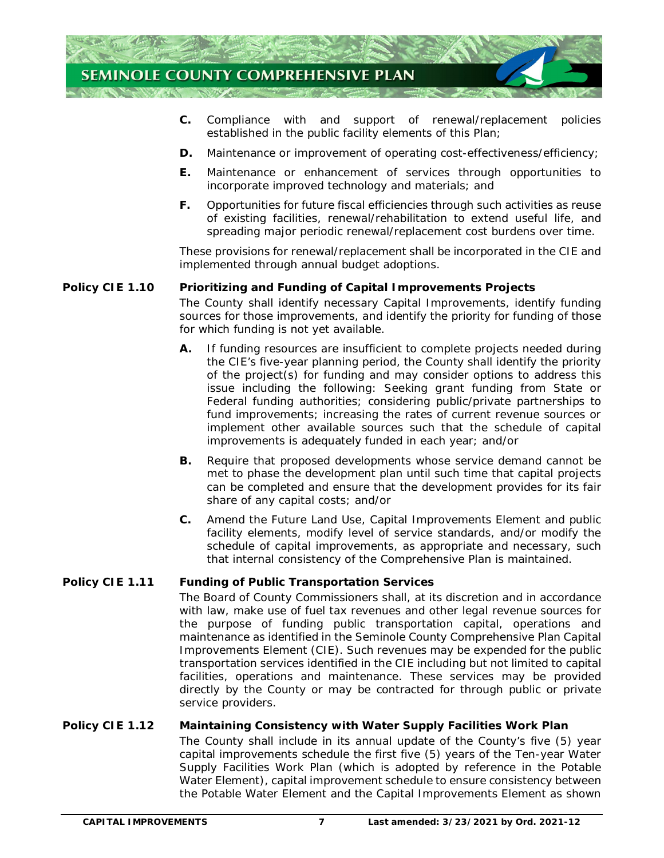

- Compliance with and established in the public facility elements of this Plan; **C.** Compliance with and support of renewal/replacement policies
- **D.** Maintenance or improvement of operating cost-effectiveness/efficiency;
- **E.** Maintenance or enhancement of services through opportunities to incorporate improved technology and materials; and
- **F.** Opportunities for future fiscal efficiencies through such activities as reuse of existing facilities, renewal/rehabilitation to extend useful life, and spreading major periodic renewal/replacement cost burdens over time.

 These provisions for renewal/replacement shall be incorporated in the CIE and implemented through annual budget adoptions.

# **Policy CIE 1.10 Prioritizing and Funding of Capital Improvements Projects**

 The County shall identify necessary Capital Improvements, identify funding sources for those improvements, and identify the priority for funding of those for which funding is not yet available.

- **A.** If funding resources are insufficient to complete projects needed during the CIE's five-year planning period, the County shall identify the priority of the project(s) for funding and may consider options to address this issue including the following: Seeking grant funding from State or Federal funding authorities; considering public/private partnerships to fund improvements; increasing the rates of current revenue sources or implement other available sources such that the schedule of capital improvements is adequately funded in each year; and/or
- **B.** Require that proposed developments whose service demand cannot be met to phase the development plan until such time that capital projects can be completed and ensure that the development provides for its fair share of any capital costs; and/or
- **C.** Amend the Future Land Use, Capital Improvements Element and public facility elements, modify level of service standards, and/or modify the schedule of capital improvements, as appropriate and necessary, such that internal consistency of the Comprehensive Plan is maintained.

# **Policy CIE 1.11 Funding of Public Transportation Services**

 The Board of County Commissioners shall, at its discretion and in accordance with law, make use of fuel tax revenues and other legal revenue sources for the purpose of funding public transportation capital, operations and maintenance as identified in the Seminole County Comprehensive Plan Capital Improvements Element (CIE). Such revenues may be expended for the public transportation services identified in the CIE including but not limited to capital facilities, operations and maintenance. These services may be provided directly by the County or may be contracted for through public or private service providers.

# **Policy CIE 1.12 Maintaining Consistency with Water Supply Facilities Work Plan**

 The County shall include in its annual update of the County's five (5) year capital improvements schedule the first five (5) years of the Ten-year Water Supply Facilities Work Plan (which is adopted by reference in the Potable Water Element), capital improvement schedule to ensure consistency between the Potable Water Element and the Capital Improvements Element as shown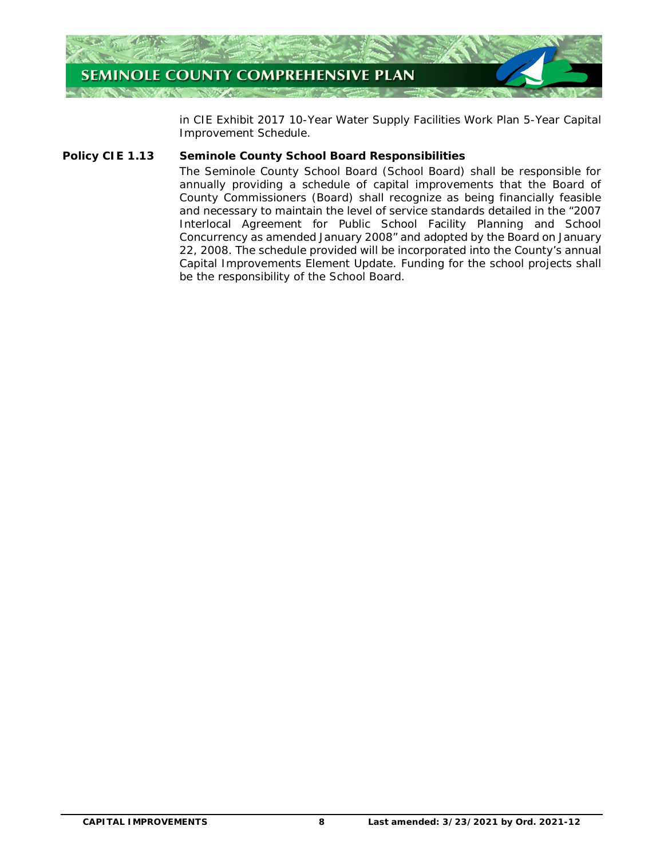

 in CIE Exhibit *2017 10-Year Water Supply Facilities Work Plan 5-Year Capital Improvement Schedule*.

### **Policy CIE 1.13 Seminole County School Board Responsibilities**

 The Seminole County School Board (School Board) shall be responsible for annually providing a schedule of capital improvements that the Board of County Commissioners (Board) shall recognize as being financially feasible and necessary to maintain the level of service standards detailed in the "2007 Interlocal Agreement for Public School Facility Planning and School Concurrency as amended January 2008" and adopted by the Board on January 22, 2008. The schedule provided will be incorporated into the County's annual Capital Improvements Element Update. Funding for the school projects shall be the responsibility of the School Board.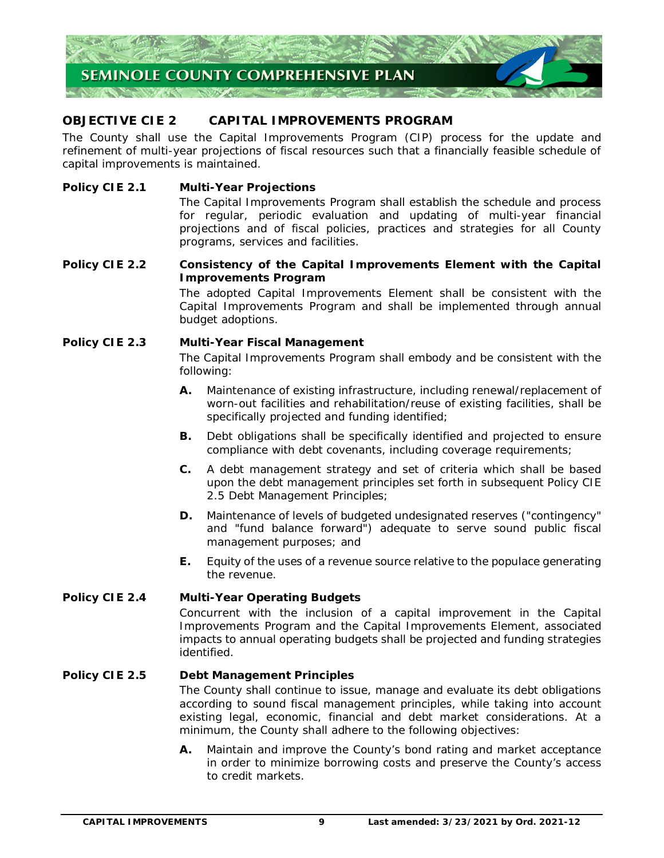

# **OBJECTIVE CIE 2 CAPITAL IMPROVEMENTS PROGRAM**

 The County shall use the Capital Improvements Program (CIP) process for the update and refinement of multi-year projections of fiscal resources such that a financially feasible schedule of capital improvements is maintained.

# **Policy CIE 2.1 Multi-Year Projections**

 The Capital Improvements Program shall establish the schedule and process for regular, periodic evaluation and updating of multi-year financial projections and of fiscal policies, practices and strategies for all County programs, services and facilities.

# **Policy CIE 2.2 Improvements Program Consistency of the Capital Improvements Element with the Capital**

 The adopted Capital Improvements Element shall be consistent with the Capital Improvements Program and shall be implemented through annual budget adoptions.

# **Policy CIE 2.3 Policy CIE 2.3 Multi-Year Fiscal Management**

 The Capital Improvements Program shall embody and be consistent with the following:

- **A.** Maintenance of existing infrastructure, including renewal/replacement of worn-out facilities and rehabilitation/reuse of existing facilities, shall be specifically projected and funding identified;
- **B.** Debt obligations shall be specifically identified and projected to ensure compliance with debt covenants, including coverage requirements;
- **C.** A debt management strategy and set of criteria which shall be based upon the debt management principles set forth in subsequent Policy CIE 2.5 Debt Management Principles;
- **D.** Maintenance of levels of budgeted undesignated reserves ("contingency" and "fund balance forward") adequate to serve sound public fiscal management purposes; and
- **E.** Equity of the uses of a revenue source relative to the populace generating the revenue.

## **Policy CIE 2.4 Multi-Year Operating Budgets**

 Concurrent with the inclusion of a capital improvement in the Capital Improvements Program and the Capital Improvements Element, associated impacts to annual operating budgets shall be projected and funding strategies identified.

## **Policy CIE 2.5 Policial Management Principles**

 The County shall continue to issue, manage and evaluate its debt obligations according to sound fiscal management principles, while taking into account existing legal, economic, financial and debt market considerations. At a minimum, the County shall adhere to the following objectives:

 **A.** Maintain and improve the County's bond rating and market acceptance in order to minimize borrowing costs and preserve the County's access to credit markets.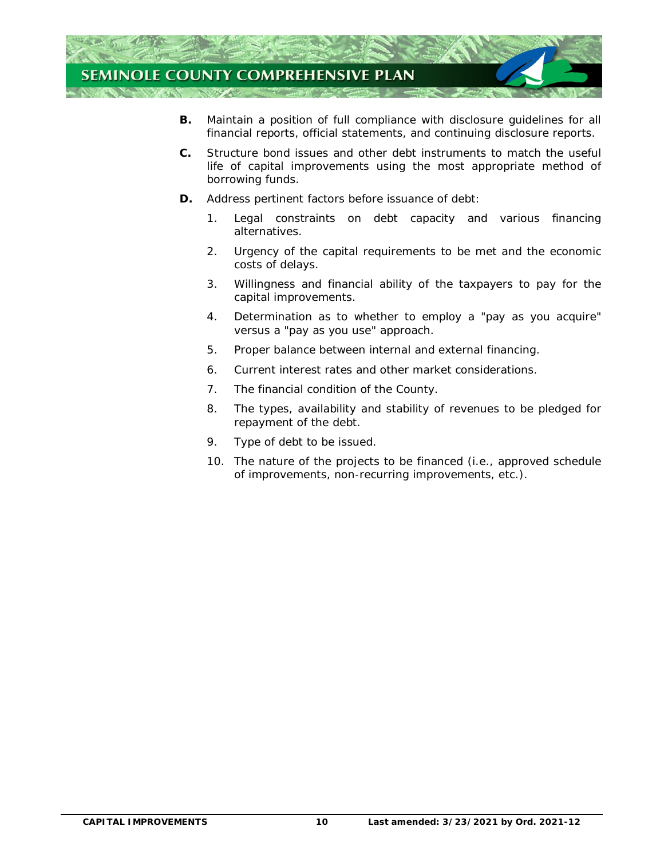

- **B.** Maintain a position of full compliance with disclosure guidelines for all financial reports, official statements, and continuing disclosure reports.
- **C.** Structure bond issues and other debt instruments to match the useful life of capital improvements using the most appropriate method of borrowing funds.
- **D.** Address pertinent factors before issuance of debt:
	- 1. Legal constraints on debt capacity and various financing alternatives.
	- 2. Urgency of the capital requirements to be met and the economic costs of delays.
	- 3. Willingness and financial ability of the taxpayers to pay for the capital improvements.
	- 4. Determination as to whether to employ a "pay as you acquire" versus a "pay as you use" approach.
	- 5. Proper balance between internal and external financing.
	- 6. Current interest rates and other market considerations.
	- 7. The financial condition of the County.
	- 8. The types, availability and stability of revenues to be pledged for repayment of the debt.
	- 9. Type of debt to be issued.
	- 10. The nature of the projects to be financed (i.e., approved schedule of improvements, non-recurring improvements, etc.).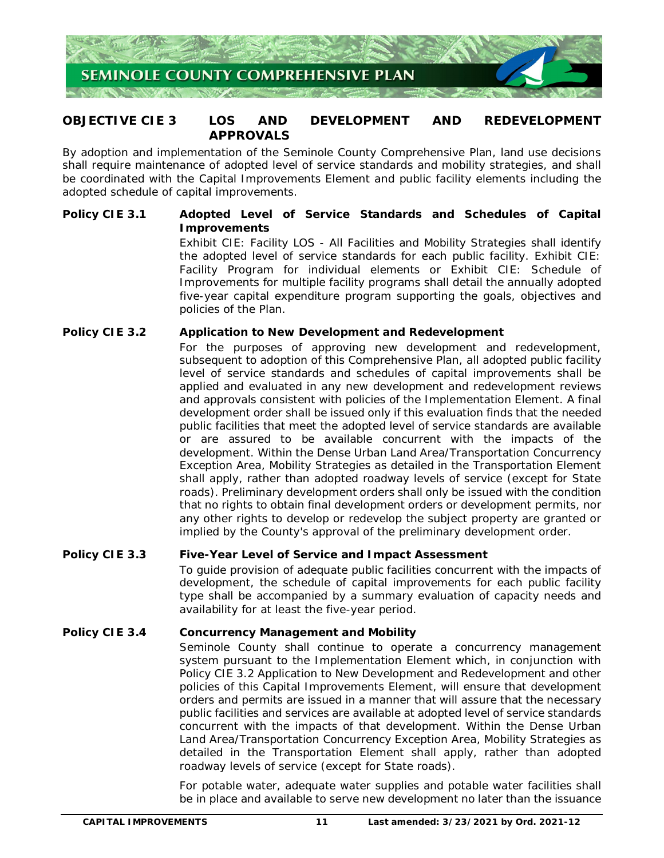

# **OBJECTIVE CIE 3 LOS AND DEVELOPMENT AND REDEVELOPMENT APPROVALS**

 By adoption and implementation of the Seminole County Comprehensive Plan, land use decisions shall require maintenance of adopted level of service standards and mobility strategies, and shall be coordinated with the Capital Improvements Element and public facility elements including the adopted schedule of capital improvements.

# **Policy CIE 3.1** Adopted Level of Service Standards and Schedules of Capital **Improvements**

 Exhibit CIE: Facility LOS - All Facilities and Mobility Strategies shall identify the adopted level of service standards for each public facility. Exhibit CIE: Facility Program for individual elements or Exhibit CIE: Schedule of Improvements for multiple facility programs shall detail the annually adopted five-year capital expenditure program supporting the goals, objectives and policies of the Plan.

## **Policy CIE 3.2 Application to New Development and Redevelopment**

 For the purposes of approving new development and redevelopment, subsequent to adoption of this Comprehensive Plan, all adopted public facility level of service standards and schedules of capital improvements shall be applied and evaluated in any new development and redevelopment reviews and approvals consistent with policies of the Implementation Element. A final development order shall be issued only if this evaluation finds that the needed public facilities that meet the adopted level of service standards are available or are assured to be available concurrent with the impacts of the development. Within the Dense Urban Land Area/Transportation Concurrency Exception Area, Mobility Strategies as detailed in the Transportation Element shall apply, rather than adopted roadway levels of service (except for State roads). Preliminary development orders shall only be issued with the condition that no rights to obtain final development orders or development permits, nor any other rights to develop or redevelop the subject property are granted or implied by the County's approval of the preliminary development order.

## **Policy CIE 3.3 Five-Year Level of Service and Impact Assessment**

 To guide provision of adequate public facilities concurrent with the impacts of development, the schedule of capital improvements for each public facility type shall be accompanied by a summary evaluation of capacity needs and availability for at least the five-year period.

## **Policy CIE 3.4 Concurrency Management and Mobility**

 Seminole County shall continue to operate a concurrency management system pursuant to the Implementation Element which, in conjunction with Policy CIE 3.2 Application to New Development and Redevelopment and other policies of this Capital Improvements Element, will ensure that development orders and permits are issued in a manner that will assure that the necessary public facilities and services are available at adopted level of service standards concurrent with the impacts of that development. Within the Dense Urban Land Area/Transportation Concurrency Exception Area, Mobility Strategies as detailed in the Transportation Element shall apply, rather than adopted roadway levels of service (except for State roads).

 For potable water, adequate water supplies and potable water facilities shall be in place and available to serve new development no later than the issuance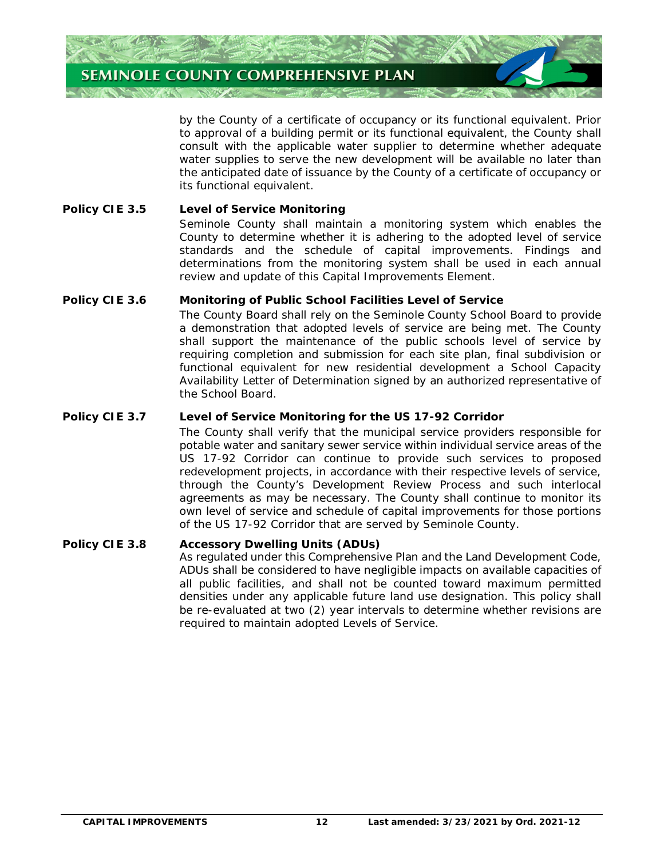

 by the County of a certificate of occupancy or its functional equivalent. Prior to approval of a building permit or its functional equivalent, the County shall consult with the applicable water supplier to determine whether adequate water supplies to serve the new development will be available no later than the anticipated date of issuance by the County of a certificate of occupancy or its functional equivalent.

## **Policy CIE 3.5 Level of Service Monitoring**

 Seminole County shall maintain a monitoring system which enables the County to determine whether it is adhering to the adopted level of service standards and the schedule of capital improvements. Findings and determinations from the monitoring system shall be used in each annual review and update of this Capital Improvements Element.

# **Policy CIE 3.6 Monitoring of Public School Facilities Level of Service**

 The County Board shall rely on the Seminole County School Board to provide a demonstration that adopted levels of service are being met. The County shall support the maintenance of the public schools level of service by requiring completion and submission for each site plan, final subdivision or functional equivalent for new residential development a School Capacity Availability Letter of Determination signed by an authorized representative of the School Board.

# **Policy CIE 3.7** Level of Service Monitoring for the US 17-92 Corridor

 The County shall verify that the municipal service providers responsible for potable water and sanitary sewer service within individual service areas of the US 17-92 Corridor can continue to provide such services to proposed redevelopment projects, in accordance with their respective levels of service, through the County's Development Review Process and such interlocal agreements as may be necessary. The County shall continue to monitor its own level of service and schedule of capital improvements for those portions of the US 17-92 Corridor that are served by Seminole County.

## **Policy CIE 3.8 Accessory Dwelling Units (ADUs)**

 As regulated under this Comprehensive Plan and the Land Development Code, ADUs shall be considered to have negligible impacts on available capacities of all public facilities, and shall not be counted toward maximum permitted densities under any applicable future land use designation. This policy shall be re-evaluated at two (2) year intervals to determine whether revisions are required to maintain adopted Levels of Service.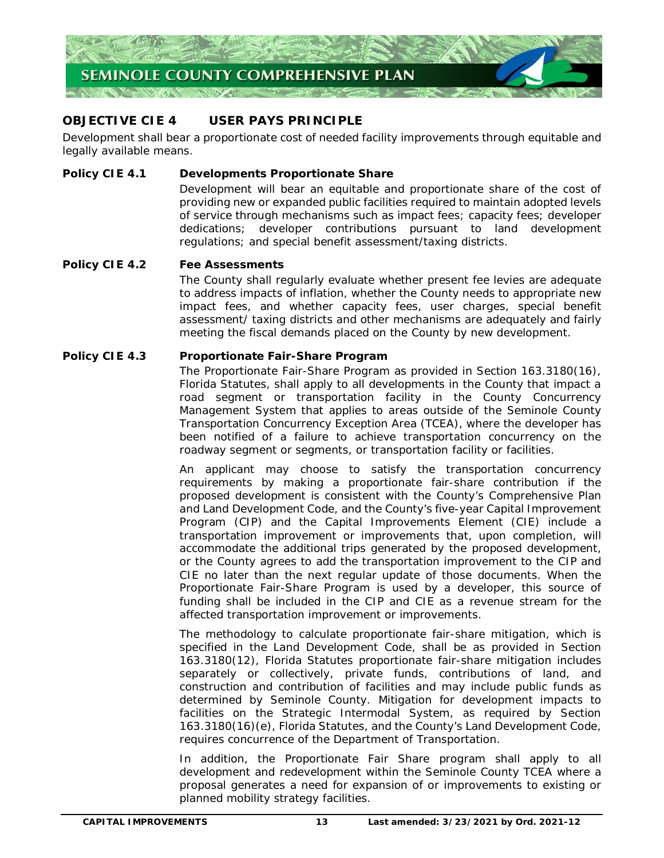

# **OBJECTIVE CIE 4 USER PAYS PRINCIPLE**

 Development shall bear a proportionate cost of needed facility improvements through equitable and legally available means.

### **Policy CIE 4.1 Developments Proportionate Share**

 Development will bear an equitable and proportionate share of the cost of providing new or expanded public facilities required to maintain adopted levels of service through mechanisms such as impact fees; capacity fees; developer dedications; developer contributions pursuant to land development regulations; and special benefit assessment/taxing districts.

#### **Policy CIE 4.2 Fee Assessments**

 The County shall regularly evaluate whether present fee levies are adequate to address impacts of inflation, whether the County needs to appropriate new impact fees, and whether capacity fees, user charges, special benefit assessment/ taxing districts and other mechanisms are adequately and fairly meeting the fiscal demands placed on the County by new development.

#### **Policy CIE 4.3 Proportionate Fair-Share Program**

 The Proportionate Fair-Share Program as provided in Section 163.3180(16), Florida Statutes, shall apply to all developments in the County that impact a road segment or transportation facility in the County Concurrency Management System that applies to areas outside of the Seminole County Transportation Concurrency Exception Area (TCEA), where the developer has been notified of a failure to achieve transportation concurrency on the roadway segment or segments, or transportation facility or facilities.

 An applicant may choose to satisfy the transportation concurrency requirements by making a proportionate fair-share contribution if the proposed development is consistent with the County's Comprehensive Plan and Land Development Code, and the County's five-year Capital Improvement Program (CIP) and the Capital Improvements Element (CIE) include a transportation improvement or improvements that, upon completion, will accommodate the additional trips generated by the proposed development, or the County agrees to add the transportation improvement to the CIP and CIE no later than the next regular update of those documents. When the Proportionate Fair-Share Program is used by a developer, this source of funding shall be included in the CIP and CIE as a revenue stream for the affected transportation improvement or improvements.

 The methodology to calculate proportionate fair-share mitigation, which is specified in the Land Development Code, shall be as provided in Section 163.3180(12), Florida Statutes proportionate fair-share mitigation includes separately or collectively, private funds, contributions of land, and construction and contribution of facilities and may include public funds as determined by Seminole County. Mitigation for development impacts to facilities on the Strategic Intermodal System, as required by Section 163.3180(16)(e), Florida Statutes, and the County's Land Development Code, requires concurrence of the Department of Transportation.

 In addition, the Proportionate Fair Share program shall apply to all development and redevelopment within the Seminole County TCEA where a proposal generates a need for expansion of or improvements to existing or planned mobility strategy facilities.